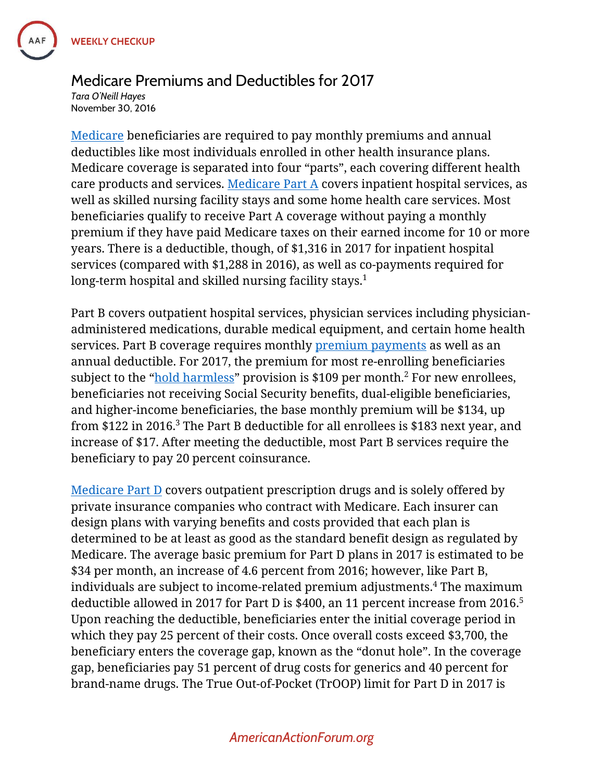

## Medicare Premiums and Deductibles for 2017

*Tara O'Neill Hayes* November 30, 2016

[Medicare](https://www.americanactionforum.org/insight/medicare-at-fifty-the-case-for-benefit-modernization/) beneficiaries are required to pay monthly premiums and annual deductibles like most individuals enrolled in other health insurance plans. Medicare coverage is separated into four "parts", each covering different health care products and services. [Medicare Part A](https://www.americanactionforum.org/weekly-checkup/the-declining-prominence-of-medicare-part-a/) covers inpatient hospital services, as well as skilled nursing facility stays and some home health care services. Most beneficiaries qualify to receive Part A coverage without paying a monthly premium if they have paid Medicare taxes on their earned income for 10 or more years. There is a deductible, though, of \$1,316 in 2017 for inpatient hospital services (compared with \$1,288 in 2016), as well as co-payments required for long-term hospital and skilled nursing facility stays.<sup>1</sup>

Part B covers outpatient hospital services, physician services including physicianadministered medications, durable medical equipment, and certain home health services. Part B coverage requires monthly [premium payments](https://www.americanactionforum.org/weekly-checkup/medicare-part-b-premium-increases-for-2016/) as well as an annual deductible. For 2017, the premium for most re-enrolling beneficiaries subject to the "[hold harmless](https://www.americanactionforum.org/insight/2016-medicare-part-b-premium-spike/)" provision is \$109 per month. $2$  For new enrollees, beneficiaries not receiving Social Security benefits, dual-eligible beneficiaries, and higher-income beneficiaries, the base monthly premium will be \$134, up from \$122 in 2016. $^3$  The Part B deductible for all enrollees is \$183 next year, and increase of \$17. After meeting the deductible, most Part B services require the beneficiary to pay 20 percent coinsurance.

[Medicare Part D](https://www.americanactionforum.org/research/competition-and-the-medicare-part-d-program/) covers outpatient prescription drugs and is solely offered by private insurance companies who contract with Medicare. Each insurer can design plans with varying benefits and costs provided that each plan is determined to be at least as good as the standard benefit design as regulated by Medicare. The average basic premium for Part D plans in 2017 is estimated to be \$34 per month, an increase of 4.6 percent from 2016; however, like Part B, individuals are subject to income-related premium adjustments. <sup>4</sup> The maximum deductible allowed in 2017 for Part D is \$400, an 11 percent increase from 2016. 5 Upon reaching the deductible, beneficiaries enter the initial coverage period in which they pay 25 percent of their costs. Once overall costs exceed \$3,700, the beneficiary enters the coverage gap, known as the "donut hole". In the coverage gap, beneficiaries pay 51 percent of drug costs for generics and 40 percent for brand-name drugs. The True Out-of-Pocket (TrOOP) limit for Part D in 2017 is